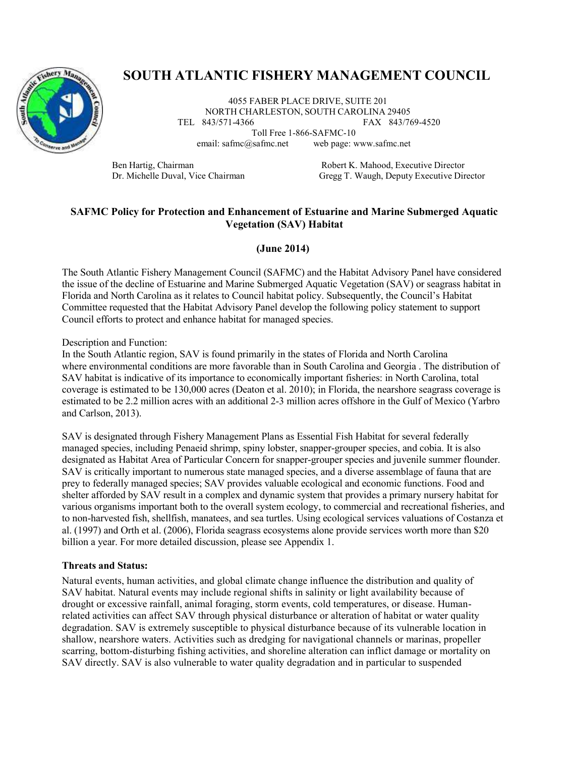

# **SOUTH ATLANTIC FISHERY MANAGEMENT COUNCIL**

4055 FABER PLACE DRIVE, SUITE 201 NORTH CHARLESTON, SOUTH CAROLINA 29405<br>TEL 843/571-4366 FAX 843/70 FAX 843/769-4520

Toll Free 1-866-SAFMC-10 email: [safmc@safmc.net](mailto:safmc@safmc.net) web page: [www.safmc.net](http://www.safmc.net/)

Ben Hartig, Chairman Robert K. Mahood, Executive Director Dr. Michelle Duval, Vice Chairman Gregg T. Waugh, Deputy Executive Director

## **SAFMC Policy for Protection and Enhancement of Estuarine and Marine Submerged Aquatic Vegetation (SAV) Habitat**

## **(June 2014)**

The South Atlantic Fishery Management Council (SAFMC) and the Habitat Advisory Panel have considered the issue of the decline of Estuarine and Marine Submerged Aquatic Vegetation (SAV) or seagrass habitat in Florida and North Carolina as it relates to Council habitat policy. Subsequently, the Council's Habitat Committee requested that the Habitat Advisory Panel develop the following policy statement to support Council efforts to protect and enhance habitat for managed species.

Description and Function:

In the South Atlantic region, SAV is found primarily in the states of Florida and North Carolina where environmental conditions are more favorable than in South Carolina and Georgia . The distribution of SAV habitat is indicative of its importance to economically important fisheries: in North Carolina, total coverage is estimated to be 130,000 acres (Deaton et al. 2010); in Florida, the nearshore seagrass coverage is estimated to be 2.2 million acres with an additional 2-3 million acres offshore in the Gulf of Mexico (Yarbro and Carlson, 2013).

SAV is designated through Fishery Management Plans as Essential Fish Habitat for several federally managed species, including Penaeid shrimp, spiny lobster, snapper-grouper species, and cobia. It is also designated as Habitat Area of Particular Concern for snapper-grouper species and juvenile summer flounder. SAV is critically important to numerous state managed species, and a diverse assemblage of fauna that are prey to federally managed species; SAV provides valuable ecological and economic functions. Food and shelter afforded by SAV result in a complex and dynamic system that provides a primary nursery habitat for various organisms important both to the overall system ecology, to commercial and recreational fisheries, and to non-harvested fish, shellfish, manatees, and sea turtles. Using ecological services valuations of Costanza et al. (1997) and Orth et al. (2006), Florida seagrass ecosystems alone provide services worth more than \$20 billion a year. For more detailed discussion, please see Appendix 1.

#### **Threats and Status:**

Natural events, human activities, and global climate change influence the distribution and quality of SAV habitat. Natural events may include regional shifts in salinity or light availability because of drought or excessive rainfall, animal foraging, storm events, cold temperatures, or disease. Humanrelated activities can affect SAV through physical disturbance or alteration of habitat or water quality degradation. SAV is extremely susceptible to physical disturbance because of its vulnerable location in shallow, nearshore waters. Activities such as dredging for navigational channels or marinas, propeller scarring, bottom-disturbing fishing activities, and shoreline alteration can inflict damage or mortality on SAV directly. SAV is also vulnerable to water quality degradation and in particular to suspended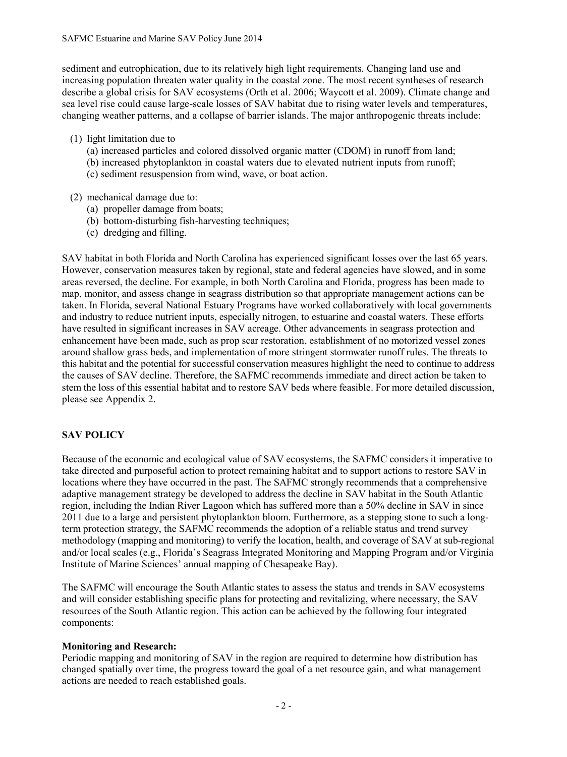sediment and eutrophication, due to its relatively high light requirements. Changing land use and increasing population threaten water quality in the coastal zone. The most recent syntheses of research describe a global crisis for SAV ecosystems (Orth et al. 2006; Waycott et al. 2009). Climate change and sea level rise could cause large-scale losses of SAV habitat due to rising water levels and temperatures, changing weather patterns, and a collapse of barrier islands. The major anthropogenic threats include:

- (1) light limitation due to
	- (a) increased particles and colored dissolved organic matter (CDOM) in runoff from land;
	- (b) increased phytoplankton in coastal waters due to elevated nutrient inputs from runoff;
	- (c) sediment resuspension from wind, wave, or boat action.
- (2) mechanical damage due to:
	- (a) propeller damage from boats;
	- (b) bottom-disturbing fish-harvesting techniques;
	- (c) dredging and filling.

SAV habitat in both Florida and North Carolina has experienced significant losses over the last 65 years. However, conservation measures taken by regional, state and federal agencies have slowed, and in some areas reversed, the decline. For example, in both North Carolina and Florida, progress has been made to map, monitor, and assess change in seagrass distribution so that appropriate management actions can be taken. In Florida, several National Estuary Programs have worked collaboratively with local governments and industry to reduce nutrient inputs, especially nitrogen, to estuarine and coastal waters. These efforts have resulted in significant increases in SAV acreage. Other advancements in seagrass protection and enhancement have been made, such as prop scar restoration, establishment of no motorized vessel zones around shallow grass beds, and implementation of more stringent stormwater runoff rules. The threats to this habitat and the potential for successful conservation measures highlight the need to continue to address the causes of SAV decline. Therefore, the SAFMC recommends immediate and direct action be taken to stem the loss of this essential habitat and to restore SAV beds where feasible. For more detailed discussion, please see Appendix 2.

## **SAV POLICY**

Because of the economic and ecological value of SAV ecosystems, the SAFMC considers it imperative to take directed and purposeful action to protect remaining habitat and to support actions to restore SAV in locations where they have occurred in the past. The SAFMC strongly recommends that a comprehensive adaptive management strategy be developed to address the decline in SAV habitat in the South Atlantic region, including the Indian River Lagoon which has suffered more than a 50% decline in SAV in since 2011 due to a large and persistent phytoplankton bloom. Furthermore, as a stepping stone to such a longterm protection strategy, the SAFMC recommends the adoption of a reliable status and trend survey methodology (mapping and monitoring) to verify the location, health, and coverage of SAV at sub-regional and/or local scales (e.g., Florida's Seagrass Integrated Monitoring and Mapping Program and/or Virginia Institute of Marine Sciences' annual mapping of Chesapeake Bay).

The SAFMC will encourage the South Atlantic states to assess the status and trends in SAV ecosystems and will consider establishing specific plans for protecting and revitalizing, where necessary, the SAV resources of the South Atlantic region. This action can be achieved by the following four integrated components:

#### **Monitoring and Research:**

Periodic mapping and monitoring of SAV in the region are required to determine how distribution has changed spatially over time, the progress toward the goal of a net resource gain, and what management actions are needed to reach established goals.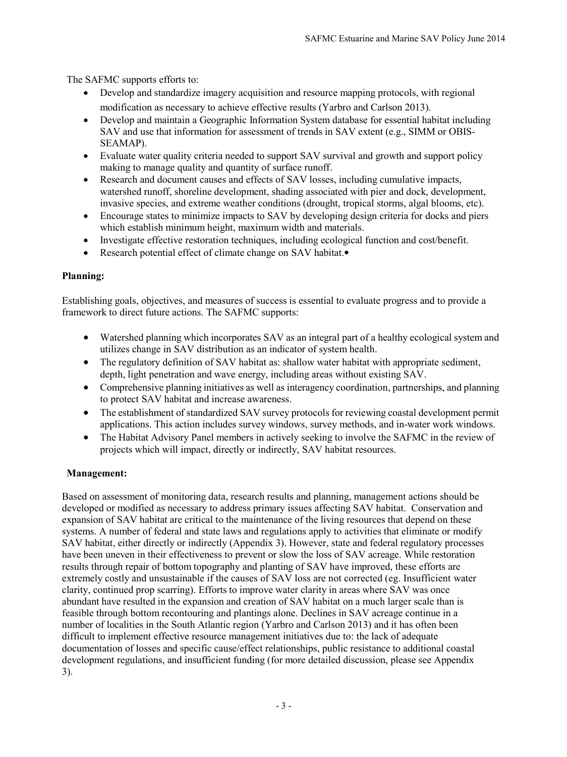The SAFMC supports efforts to:

- Develop and standardize imagery acquisition and resource mapping protocols, with regional modification as necessary to achieve effective results (Yarbro and Carlson 2013).
- Develop and maintain a Geographic Information System database for essential habitat including SAV and use that information for assessment of trends in SAV extent (e.g., SIMM or OBIS-SEAMAP).
- Evaluate water quality criteria needed to support SAV survival and growth and support policy making to manage quality and quantity of surface runoff.
- Research and document causes and effects of SAV losses, including cumulative impacts, watershed runoff, shoreline development, shading associated with pier and dock, development, invasive species, and extreme weather conditions (drought, tropical storms, algal blooms, etc).
- Encourage states to minimize impacts to SAV by developing design criteria for docks and piers which establish minimum height, maximum width and materials.
- Investigate effective restoration techniques, including ecological function and cost/benefit.
- Research potential effect of climate change on SAV habitat.

## **Planning:**

Establishing goals, objectives, and measures of success is essential to evaluate progress and to provide a framework to direct future actions. The SAFMC supports:

- Watershed planning which incorporates SAV as an integral part of a healthy ecological system and utilizes change in SAV distribution as an indicator of system health.
- The regulatory definition of SAV habitat as: shallow water habitat with appropriate sediment, depth, light penetration and wave energy, including areas without existing SAV.
- Comprehensive planning initiatives as well as interagency coordination, partnerships, and planning to protect SAV habitat and increase awareness.
- The establishment of standardized SAV survey protocols for reviewing coastal development permit applications. This action includes survey windows, survey methods, and in-water work windows.
- The Habitat Advisory Panel members in actively seeking to involve the SAFMC in the review of projects which will impact, directly or indirectly, SAV habitat resources.

# **Management:**

Based on assessment of monitoring data, research results and planning, management actions should be developed or modified as necessary to address primary issues affecting SAV habitat. Conservation and expansion of SAV habitat are critical to the maintenance of the living resources that depend on these systems. A number of federal and state laws and regulations apply to activities that eliminate or modify SAV habitat, either directly or indirectly (Appendix 3). However, state and federal regulatory processes have been uneven in their effectiveness to prevent or slow the loss of SAV acreage. While restoration results through repair of bottom topography and planting of SAV have improved, these efforts are extremely costly and unsustainable if the causes of SAV loss are not corrected (eg. Insufficient water clarity, continued prop scarring). Efforts to improve water clarity in areas where SAV was once abundant have resulted in the expansion and creation of SAV habitat on a much larger scale than is feasible through bottom recontouring and plantings alone. Declines in SAV acreage continue in a number of localities in the South Atlantic region (Yarbro and Carlson 2013) and it has often been difficult to implement effective resource management initiatives due to: the lack of adequate documentation of losses and specific cause/effect relationships, public resistance to additional coastal development regulations, and insufficient funding (for more detailed discussion, please see Appendix 3).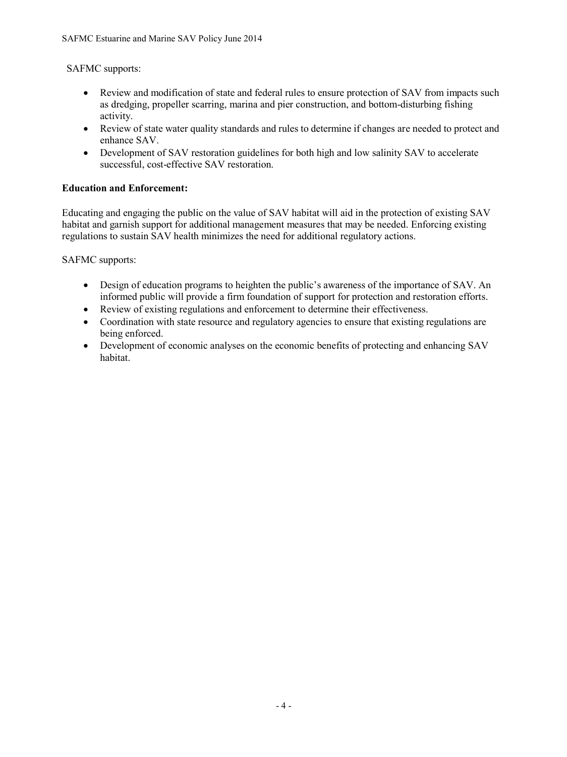## SAFMC supports:

- Review and modification of state and federal rules to ensure protection of SAV from impacts such as dredging, propeller scarring, marina and pier construction, and bottom-disturbing fishing activity.
- Review of state water quality standards and rules to determine if changes are needed to protect and enhance SAV.
- Development of SAV restoration guidelines for both high and low salinity SAV to accelerate successful, cost-effective SAV restoration.

## **Education and Enforcement:**

Educating and engaging the public on the value of SAV habitat will aid in the protection of existing SAV habitat and garnish support for additional management measures that may be needed. Enforcing existing regulations to sustain SAV health minimizes the need for additional regulatory actions.

SAFMC supports:

- Design of education programs to heighten the public's awareness of the importance of SAV. An informed public will provide a firm foundation of support for protection and restoration efforts.
- Review of existing regulations and enforcement to determine their effectiveness.
- Coordination with state resource and regulatory agencies to ensure that existing regulations are being enforced.
- Development of economic analyses on the economic benefits of protecting and enhancing SAV habitat.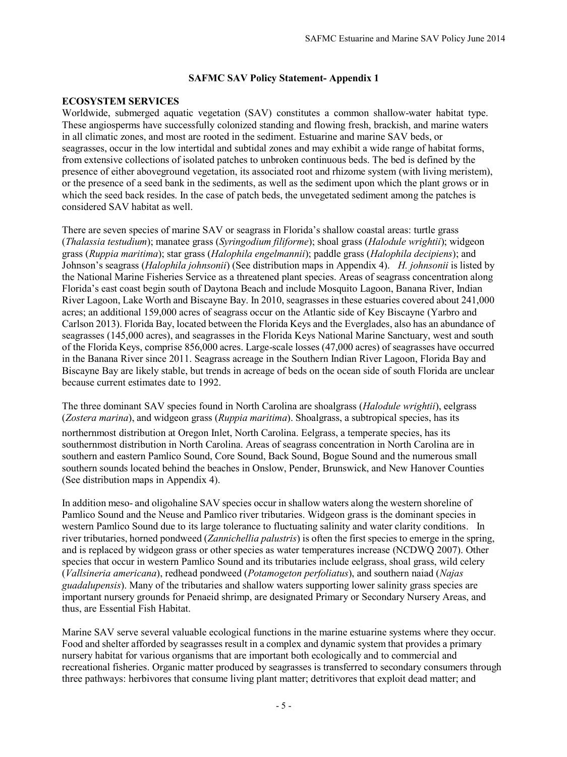#### **ECOSYSTEM SERVICES**

Worldwide, submerged aquatic vegetation (SAV) constitutes a common shallow-water habitat type. These angiosperms have successfully colonized standing and flowing fresh, brackish, and marine waters in all climatic zones, and most are rooted in the sediment. Estuarine and marine SAV beds, or seagrasses, occur in the low intertidal and subtidal zones and may exhibit a wide range of habitat forms, from extensive collections of isolated patches to unbroken continuous beds. The bed is defined by the presence of either aboveground vegetation, its associated root and rhizome system (with living meristem), or the presence of a seed bank in the sediments, as well as the sediment upon which the plant grows or in which the seed back resides. In the case of patch beds, the unvegetated sediment among the patches is considered SAV habitat as well.

There are seven species of marine SAV or seagrass in Florida's shallow coastal areas: turtle grass (*Thalassia testudium*); manatee grass (*Syringodium filiforme*); shoal grass (*Halodule wrightii*); widgeon grass (*Ruppia maritima*); star grass (*Halophila engelmannii*); paddle grass (*Halophila decipiens*); and Johnson's seagrass (*Halophila johnsonii*) (See distribution maps in Appendix 4). *H. johnsonii* is listed by the National Marine Fisheries Service as a threatened plant species. Areas of seagrass concentration along Florida's east coast begin south of Daytona Beach and include Mosquito Lagoon, Banana River, Indian River Lagoon, Lake Worth and Biscayne Bay. In 2010, seagrasses in these estuaries covered about 241,000 acres; an additional 159,000 acres of seagrass occur on the Atlantic side of Key Biscayne (Yarbro and Carlson 2013). Florida Bay, located between the Florida Keys and the Everglades, also has an abundance of seagrasses (145,000 acres), and seagrasses in the Florida Keys National Marine Sanctuary, west and south of the Florida Keys, comprise 856,000 acres. Large-scale losses (47,000 acres) of seagrasses have occurred in the Banana River since 2011. Seagrass acreage in the Southern Indian River Lagoon, Florida Bay and Biscayne Bay are likely stable, but trends in acreage of beds on the ocean side of south Florida are unclear because current estimates date to 1992.

#### The three dominant SAV species found in North Carolina are shoalgrass (*Halodule wrightii*), eelgrass (*Zostera marina*), and widgeon grass (*Ruppia maritima*). Shoalgrass, a subtropical species, has its

northernmost distribution at Oregon Inlet, North Carolina. Eelgrass, a temperate species, has its southernmost distribution in North Carolina. Areas of seagrass concentration in North Carolina are in southern and eastern Pamlico Sound, Core Sound, Back Sound, Bogue Sound and the numerous small southern sounds located behind the beaches in Onslow, Pender, Brunswick, and New Hanover Counties (See distribution maps in Appendix 4).

In addition meso- and oligohaline SAV species occur in shallow waters along the western shoreline of Pamlico Sound and the Neuse and Pamlico river tributaries. Widgeon grass is the dominant species in western Pamlico Sound due to its large tolerance to fluctuating salinity and water clarity conditions. In river tributaries, horned pondweed (*Zannichellia palustris*) is often the first species to emerge in the spring, and is replaced by widgeon grass or other species as water temperatures increase (NCDWQ 2007). Other species that occur in western Pamlico Sound and its tributaries include eelgrass, shoal grass, wild celery (*Vallsineria americana*), redhead pondweed (*Potamogeton perfoliatus*), and southern naiad (*Najas guadalupensis*). Many of the tributaries and shallow waters supporting lower salinity grass species are important nursery grounds for Penaeid shrimp, are designated Primary or Secondary Nursery Areas, and thus, are Essential Fish Habitat.

Marine SAV serve several valuable ecological functions in the marine estuarine systems where they occur. Food and shelter afforded by seagrasses result in a complex and dynamic system that provides a primary nursery habitat for various organisms that are important both ecologically and to commercial and recreational fisheries. Organic matter produced by seagrasses is transferred to secondary consumers through three pathways: herbivores that consume living plant matter; detritivores that exploit dead matter; and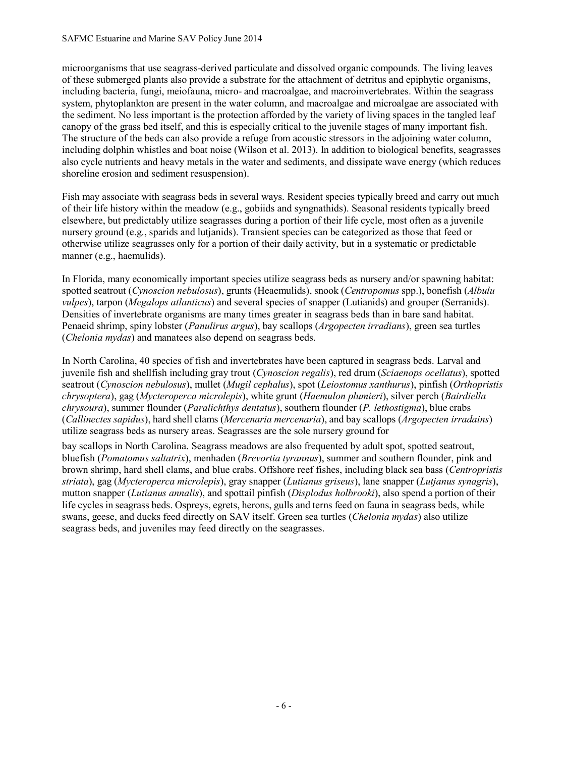microorganisms that use seagrass-derived particulate and dissolved organic compounds. The living leaves of these submerged plants also provide a substrate for the attachment of detritus and epiphytic organisms, including bacteria, fungi, meiofauna, micro- and macroalgae, and macroinvertebrates. Within the seagrass system, phytoplankton are present in the water column, and macroalgae and microalgae are associated with the sediment. No less important is the protection afforded by the variety of living spaces in the tangled leaf canopy of the grass bed itself, and this is especially critical to the juvenile stages of many important fish. The structure of the beds can also provide a refuge from acoustic stressors in the adjoining water column, including dolphin whistles and boat noise (Wilson et al. 2013). In addition to biological benefits, seagrasses also cycle nutrients and heavy metals in the water and sediments, and dissipate wave energy (which reduces shoreline erosion and sediment resuspension).

Fish may associate with seagrass beds in several ways. Resident species typically breed and carry out much of their life history within the meadow (e.g., gobiids and syngnathids). Seasonal residents typically breed elsewhere, but predictably utilize seagrasses during a portion of their life cycle, most often as a juvenile nursery ground (e.g., sparids and lutjanids). Transient species can be categorized as those that feed or otherwise utilize seagrasses only for a portion of their daily activity, but in a systematic or predictable manner (e.g., haemulids).

In Florida, many economically important species utilize seagrass beds as nursery and/or spawning habitat: spotted seatrout (*Cynoscion nebulosus*), grunts (Heaemulids), snook (*Centropomus* spp.), bonefish (*Albulu vulpes*), tarpon (*Megalops atlanticus*) and several species of snapper (Lutianids) and grouper (Serranids). Densities of invertebrate organisms are many times greater in seagrass beds than in bare sand habitat. Penaeid shrimp, spiny lobster (*Panulirus argus*), bay scallops (*Argopecten irradians*), green sea turtles (*Chelonia mydas*) and manatees also depend on seagrass beds.

In North Carolina, 40 species of fish and invertebrates have been captured in seagrass beds. Larval and juvenile fish and shellfish including gray trout (*Cynoscion regalis*), red drum (*Sciaenops ocellatus*), spotted seatrout (*Cynoscion nebulosus*), mullet (*Mugil cephalus*), spot (*Leiostomus xanthurus*), pinfish (*Orthopristis chrysoptera*), gag (*Mycteroperca microlepis*), white grunt (*Haemulon plumieri*), silver perch (*Bairdiella chrysoura*), summer flounder (*Paralichthys dentatus*), southern flounder (*P. lethostigma*), blue crabs (*Callinectes sapidus*), hard shell clams (*Mercenaria mercenaria*), and bay scallops (*Argopecten irradains*) utilize seagrass beds as nursery areas. Seagrasses are the sole nursery ground for

bay scallops in North Carolina. Seagrass meadows are also frequented by adult spot, spotted seatrout, bluefish (*Pomatomus saltatrix*), menhaden (*Brevortia tyrannus*), summer and southern flounder, pink and brown shrimp, hard shell clams, and blue crabs. Offshore reef fishes, including black sea bass (*Centropristis striata*), gag (*Mycteroperca microlepis*), gray snapper (*Lutianus griseus*), lane snapper (*Lutjanus synagris*), mutton snapper (*Lutianus annalis*), and spottail pinfish (*Displodus holbrooki*), also spend a portion of their life cycles in seagrass beds. Ospreys, egrets, herons, gulls and terns feed on fauna in seagrass beds, while swans, geese, and ducks feed directly on SAV itself. Green sea turtles (*Chelonia mydas*) also utilize seagrass beds, and juveniles may feed directly on the seagrasses.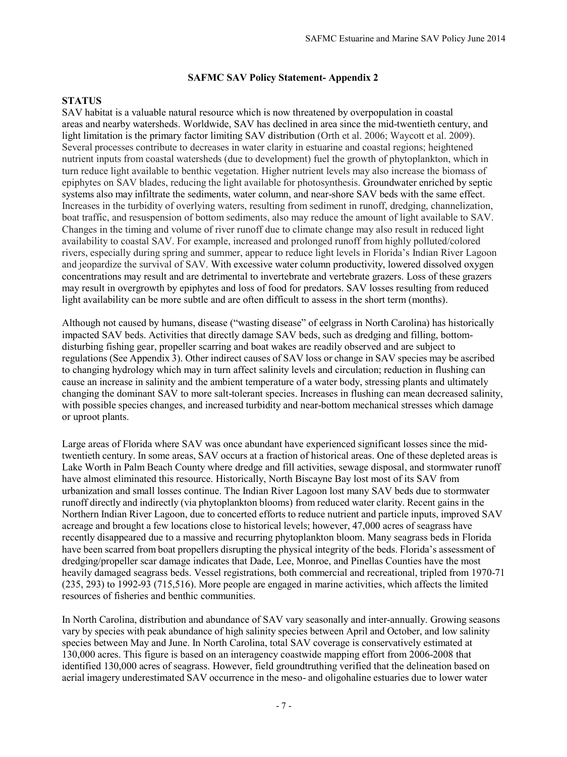## **STATUS**

SAV habitat is a valuable natural resource which is now threatened by overpopulation in coastal areas and nearby watersheds. Worldwide, SAV has declined in area since the mid-twentieth century, and light limitation is the primary factor limiting SAV distribution (Orth et al. 2006; Waycott et al. 2009). Several processes contribute to decreases in water clarity in estuarine and coastal regions; heightened nutrient inputs from coastal watersheds (due to development) fuel the growth of phytoplankton, which in turn reduce light available to benthic vegetation. Higher nutrient levels may also increase the biomass of epiphytes on SAV blades, reducing the light available for photosynthesis. Groundwater enriched by septic systems also may infiltrate the sediments, water column, and near-shore SAV beds with the same effect. Increases in the turbidity of overlying waters, resulting from sediment in runoff, dredging, channelization, boat traffic, and resuspension of bottom sediments, also may reduce the amount of light available to SAV. Changes in the timing and volume of river runoff due to climate change may also result in reduced light availability to coastal SAV. For example, increased and prolonged runoff from highly polluted/colored rivers, especially during spring and summer, appear to reduce light levels in Florida's Indian River Lagoon and jeopardize the survival of SAV. With excessive water column productivity, lowered dissolved oxygen concentrations may result and are detrimental to invertebrate and vertebrate grazers. Loss of these grazers may result in overgrowth by epiphytes and loss of food for predators. SAV losses resulting from reduced light availability can be more subtle and are often difficult to assess in the short term (months).

Although not caused by humans, disease ("wasting disease" of eelgrass in North Carolina) has historically impacted SAV beds. Activities that directly damage SAV beds, such as dredging and filling, bottomdisturbing fishing gear, propeller scarring and boat wakes are readily observed and are subject to regulations (See Appendix 3). Other indirect causes of SAV loss or change in SAV species may be ascribed to changing hydrology which may in turn affect salinity levels and circulation; reduction in flushing can cause an increase in salinity and the ambient temperature of a water body, stressing plants and ultimately changing the dominant SAV to more salt-tolerant species. Increases in flushing can mean decreased salinity, with possible species changes, and increased turbidity and near-bottom mechanical stresses which damage or uproot plants.

Large areas of Florida where SAV was once abundant have experienced significant losses since the midtwentieth century. In some areas, SAV occurs at a fraction of historical areas. One of these depleted areas is Lake Worth in Palm Beach County where dredge and fill activities, sewage disposal, and stormwater runoff have almost eliminated this resource. Historically, North Biscayne Bay lost most of its SAV from urbanization and small losses continue. The Indian River Lagoon lost many SAV beds due to stormwater runoff directly and indirectly (via phytoplankton blooms) from reduced water clarity. Recent gains in the Northern Indian River Lagoon, due to concerted efforts to reduce nutrient and particle inputs, improved SAV acreage and brought a few locations close to historical levels; however, 47,000 acres of seagrass have recently disappeared due to a massive and recurring phytoplankton bloom. Many seagrass beds in Florida have been scarred from boat propellers disrupting the physical integrity of the beds. Florida's assessment of dredging/propeller scar damage indicates that Dade, Lee, Monroe, and Pinellas Counties have the most heavily damaged seagrass beds. Vessel registrations, both commercial and recreational, tripled from 1970-71 (235, 293) to 1992-93 (715,516). More people are engaged in marine activities, which affects the limited resources of fisheries and benthic communities.

In North Carolina, distribution and abundance of SAV vary seasonally and inter-annually. Growing seasons vary by species with peak abundance of high salinity species between April and October, and low salinity species between May and June. In North Carolina, total SAV coverage is conservatively estimated at 130,000 acres. This figure is based on an interagency coastwide mapping effort from 2006-2008 that identified 130,000 acres of seagrass. However, field groundtruthing verified that the delineation based on aerial imagery underestimated SAV occurrence in the meso- and oligohaline estuaries due to lower water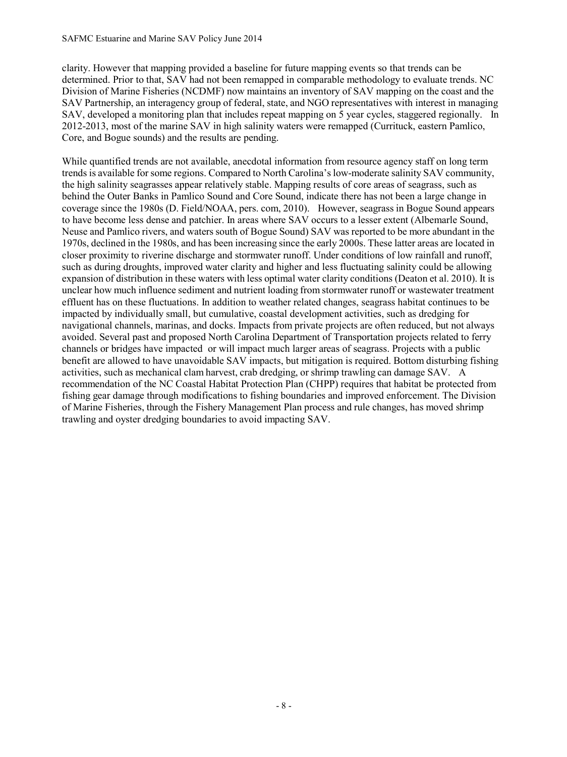clarity. However that mapping provided a baseline for future mapping events so that trends can be determined. Prior to that, SAV had not been remapped in comparable methodology to evaluate trends. NC Division of Marine Fisheries (NCDMF) now maintains an inventory of SAV mapping on the coast and the SAV Partnership, an interagency group of federal, state, and NGO representatives with interest in managing SAV, developed a monitoring plan that includes repeat mapping on 5 year cycles, staggered regionally. In 2012-2013, most of the marine SAV in high salinity waters were remapped (Currituck, eastern Pamlico, Core, and Bogue sounds) and the results are pending.

While quantified trends are not available, anecdotal information from resource agency staff on long term trends is available for some regions. Compared to North Carolina's low-moderate salinity SAV community, the high salinity seagrasses appear relatively stable. Mapping results of core areas of seagrass, such as behind the Outer Banks in Pamlico Sound and Core Sound, indicate there has not been a large change in coverage since the 1980s (D. Field/NOAA, pers. com, 2010). However, seagrass in Bogue Sound appears to have become less dense and patchier. In areas where SAV occurs to a lesser extent (Albemarle Sound, Neuse and Pamlico rivers, and waters south of Bogue Sound) SAV was reported to be more abundant in the 1970s, declined in the 1980s, and has been increasing since the early 2000s. These latter areas are located in closer proximity to riverine discharge and stormwater runoff. Under conditions of low rainfall and runoff, such as during droughts, improved water clarity and higher and less fluctuating salinity could be allowing expansion of distribution in these waters with less optimal water clarity conditions (Deaton et al. 2010). It is unclear how much influence sediment and nutrient loading from stormwater runoff or wastewater treatment effluent has on these fluctuations. In addition to weather related changes, seagrass habitat continues to be impacted by individually small, but cumulative, coastal development activities, such as dredging for navigational channels, marinas, and docks. Impacts from private projects are often reduced, but not always avoided. Several past and proposed North Carolina Department of Transportation projects related to ferry channels or bridges have impacted or will impact much larger areas of seagrass. Projects with a public benefit are allowed to have unavoidable SAV impacts, but mitigation is required. Bottom disturbing fishing activities, such as mechanical clam harvest, crab dredging, or shrimp trawling can damage SAV. A recommendation of the NC Coastal Habitat Protection Plan (CHPP) requires that habitat be protected from fishing gear damage through modifications to fishing boundaries and improved enforcement. The Division of Marine Fisheries, through the Fishery Management Plan process and rule changes, has moved shrimp trawling and oyster dredging boundaries to avoid impacting SAV.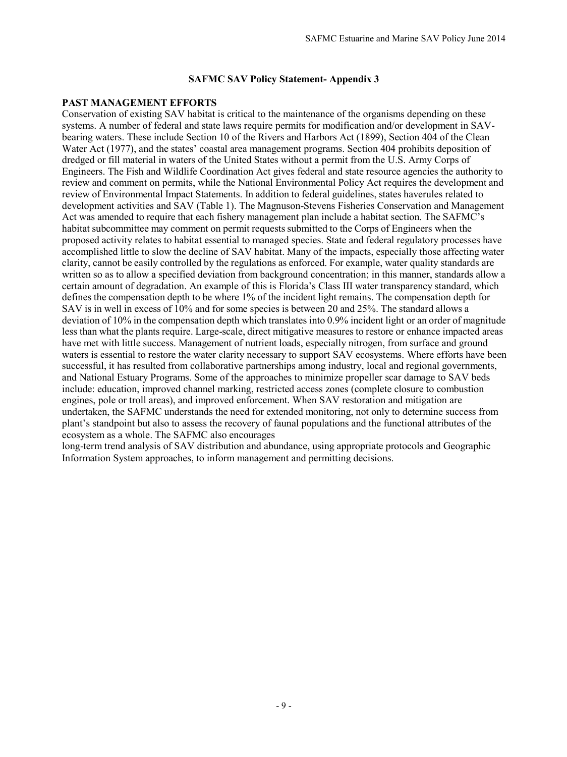#### **PAST MANAGEMENT EFFORTS**

Conservation of existing SAV habitat is critical to the maintenance of the organisms depending on these systems. A number of federal and state laws require permits for modification and/or development in SAVbearing waters. These include Section 10 of the Rivers and Harbors Act (1899), Section 404 of the Clean Water Act (1977), and the states' coastal area management programs. Section 404 prohibits deposition of dredged or fill material in waters of the United States without a permit from the U.S. Army Corps of Engineers. The Fish and Wildlife Coordination Act gives federal and state resource agencies the authority to review and comment on permits, while the National Environmental Policy Act requires the development and review of Environmental Impact Statements. In addition to federal guidelines, states haverules related to development activities and SAV (Table 1). The Magnuson-Stevens Fisheries Conservation and Management Act was amended to require that each fishery management plan include a habitat section. The SAFMC's habitat subcommittee may comment on permit requests submitted to the Corps of Engineers when the proposed activity relates to habitat essential to managed species. State and federal regulatory processes have accomplished little to slow the decline of SAV habitat. Many of the impacts, especially those affecting water clarity, cannot be easily controlled by the regulations as enforced. For example, water quality standards are written so as to allow a specified deviation from background concentration; in this manner, standards allow a certain amount of degradation. An example of this is Florida's Class III water transparency standard, which defines the compensation depth to be where 1% of the incident light remains. The compensation depth for SAV is in well in excess of 10% and for some species is between 20 and 25%. The standard allows a deviation of 10% in the compensation depth which translates into 0.9% incident light or an order of magnitude less than what the plants require. Large-scale, direct mitigative measures to restore or enhance impacted areas have met with little success. Management of nutrient loads, especially nitrogen, from surface and ground waters is essential to restore the water clarity necessary to support SAV ecosystems. Where efforts have been successful, it has resulted from collaborative partnerships among industry, local and regional governments, and National Estuary Programs. Some of the approaches to minimize propeller scar damage to SAV beds include: education, improved channel marking, restricted access zones (complete closure to combustion engines, pole or troll areas), and improved enforcement. When SAV restoration and mitigation are undertaken, the SAFMC understands the need for extended monitoring, not only to determine success from plant's standpoint but also to assess the recovery of faunal populations and the functional attributes of the ecosystem as a whole. The SAFMC also encourages

long-term trend analysis of SAV distribution and abundance, using appropriate protocols and Geographic Information System approaches, to inform management and permitting decisions.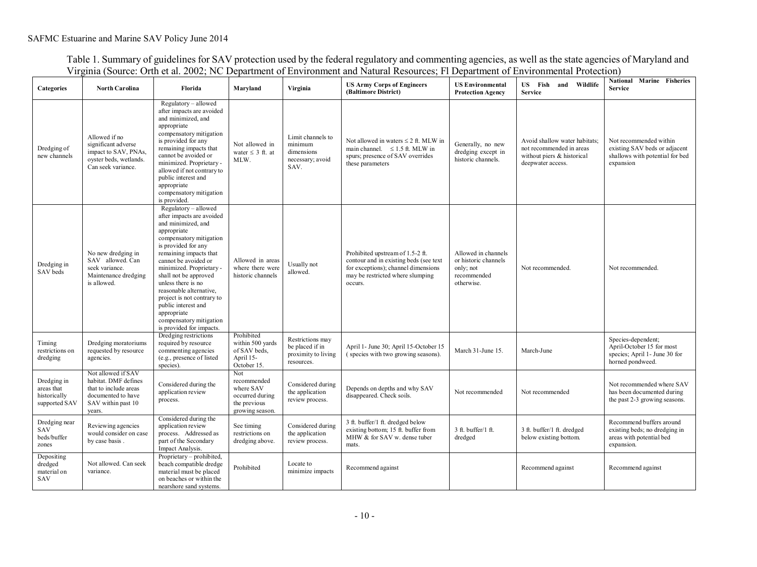Table 1. Summary of guidelines for SAV protection used by the federal regulatory and commenting agencies, as well as the state agencies of Maryland and Virginia (Source: Orth et al. 2002; NC Department of Environment and Natural Resources; Fl Department of Environmental Protection)

| <b>Categories</b>                                          | <b>North Carolina</b>                                                                                                     | Florida                                                                                                                                                                                                                                                                                                                                                                                                                     | Maryland                                                                              | Virginia                                                                 | <b>US Army Corps of Engineers</b><br>(Baltimore District)                                                                                                         | <b>US Environmental</b><br><b>Protection Agency</b>                                   | US Fish and Wildlife<br><b>Service</b>                                                                       | National Marine Fisheries<br><b>Service</b>                                                             |
|------------------------------------------------------------|---------------------------------------------------------------------------------------------------------------------------|-----------------------------------------------------------------------------------------------------------------------------------------------------------------------------------------------------------------------------------------------------------------------------------------------------------------------------------------------------------------------------------------------------------------------------|---------------------------------------------------------------------------------------|--------------------------------------------------------------------------|-------------------------------------------------------------------------------------------------------------------------------------------------------------------|---------------------------------------------------------------------------------------|--------------------------------------------------------------------------------------------------------------|---------------------------------------------------------------------------------------------------------|
| Dredging of<br>new channels                                | Allowed if no<br>significant adverse<br>impact to SAV, PNAs,<br>oyster beds, wetlands.<br>Can seek variance.              | Regulatory - allowed<br>after impacts are avoided<br>and minimized, and<br>appropriate<br>compensatory mitigation<br>is provided for any<br>remaining impacts that<br>cannot be avoided or<br>minimized. Proprietary -<br>allowed if not contrary to<br>public interest and<br>appropriate<br>compensatory mitigation<br>is provided.                                                                                       | Not allowed in<br>water $\leq$ 3 ft. at<br>MLW.                                       | Limit channels to<br>minimum<br>dimensions<br>necessary; avoid<br>SAV.   | Not allowed in waters $\leq 2$ ft. MLW in<br>main channel. $\leq 1.5$ ft. MLW in<br>spurs; presence of SAV overrides<br>these parameters                          | Generally, no new<br>dredging except in<br>historic channels.                         | Avoid shallow water habitats;<br>not recommended in areas<br>without piers & historical<br>deepwater access. | Not recommended within<br>existing SAV beds or adjacent<br>shallows with potential for bed<br>expansion |
| Dredging in<br>SAV beds                                    | No new dredging in<br>SAV allowed, Can<br>seek variance.<br>Maintenance dredging<br>is allowed.                           | Regulatory - allowed<br>after impacts are avoided<br>and minimized, and<br>appropriate<br>compensatory mitigation<br>is provided for any<br>remaining impacts that<br>cannot be avoided or<br>minimized. Proprietary -<br>shall not be approved<br>unless there is no<br>reasonable alternative,<br>project is not contrary to<br>public interest and<br>appropriate<br>compensatory mitigation<br>is provided for impacts. | Allowed in areas<br>where there were<br>historic channels                             | Usually not<br>allowed.                                                  | Prohibited upstream of 1.5-2 ft.<br>contour and in existing beds (see text)<br>for exceptions); channel dimensions<br>may be restricted where slumping<br>occurs. | Allowed in channels<br>or historic channels<br>only; not<br>recommended<br>otherwise. | Not recommended.                                                                                             | Not recommended.                                                                                        |
| Timing<br>restrictions on<br>dredging                      | Dredging moratoriums<br>requested by resource<br>agencies.                                                                | Dredging restrictions<br>required by resource<br>commenting agencies<br>(e.g., presence of listed<br>species).                                                                                                                                                                                                                                                                                                              | Prohibited<br>within 500 yards<br>of SAV beds.<br>April 15-<br>October 15.            | Restrictions may<br>be placed if in<br>proximity to living<br>resources. | April 1- June 30; April 15-October 15<br>(species with two growing seasons).                                                                                      | March 31-June 15.                                                                     | March-June                                                                                                   | Species-dependent;<br>April-October 15 for most<br>species; April 1 - June 30 for<br>horned pondweed.   |
| Dredging in<br>areas that<br>historically<br>supported SAV | Not allowed if SAV<br>habitat. DMF defines<br>that to include areas<br>documented to have<br>SAV within past 10<br>vears. | Considered during the<br>application review<br>process.                                                                                                                                                                                                                                                                                                                                                                     | Not<br>recommended<br>where SAV<br>occurred during<br>the previous<br>growing season. | Considered during<br>the application<br>review process.                  | Depends on depths and why SAV<br>disappeared. Check soils.                                                                                                        | Not recommended                                                                       | Not recommended                                                                                              | Not recommended where SAV<br>has been documented during<br>the past 2-3 growing seasons.                |
| Dredging near<br><b>SAV</b><br>beds/buffer<br>zones        | Reviewing agencies<br>would consider on case<br>by case basis.                                                            | Considered during the<br>application review<br>process. Addressed as<br>part of the Secondary<br>Impact Analysis.                                                                                                                                                                                                                                                                                                           | See timing<br>restrictions on<br>dredging above.                                      | Considered during<br>the application<br>review process.                  | 3 ft. buffer/1 ft. dredged below<br>existing bottom; 15 ft. buffer from<br>MHW & for SAV w. dense tuber<br>mats.                                                  | $3$ ft. buffer/1 ft.<br>dredged                                                       | 3 ft. buffer/1 ft. dredged<br>below existing bottom.                                                         | Recommend buffers around<br>existing beds; no dredging in<br>areas with potential bed<br>expansion.     |
| Depositing<br>dredged<br>material on<br>SAV                | Not allowed. Can seek<br>variance.                                                                                        | Proprietary - prohibited,<br>beach compatible dredge<br>material must be placed<br>on beaches or within the<br>nearshore sand systems.                                                                                                                                                                                                                                                                                      | Prohibited                                                                            | Locate to<br>minimize impacts                                            | Recommend against                                                                                                                                                 |                                                                                       | Recommend against                                                                                            | Recommend against                                                                                       |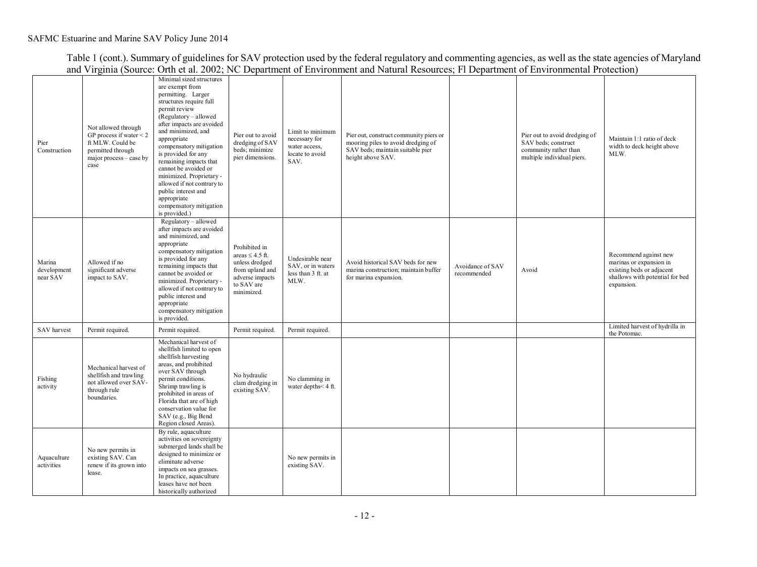Table 1 (cont.). Summary of guidelines for SAV protection used by the federal regulatory and commenting agencies, as well as the state agencies of Maryland and Virginia (Source: Orth et al. 2002; NC Department of Environment and Natural Resources; Fl Department of Environmental Protection)

| Pier<br>Construction              | Not allowed through<br>GP process if water $\leq$ 2<br>ft MLW. Could be<br>permitted through<br>major process – case by<br>case | Minimal sized structures<br>are exempt from<br>permitting. Larger<br>structures require full<br>permit review<br>(Regulatory – allowed<br>after impacts are avoided<br>and minimized, and<br>appropriate<br>compensatory mitigation<br>is provided for any<br>remaining impacts that<br>cannot be avoided or<br>minimized. Proprietary -<br>allowed if not contrary to<br>public interest and<br>appropriate<br>compensatory mitigation<br>is provided.) | Pier out to avoid<br>dredging of SAV<br>beds; minimize<br>pier dimensions.                                                | Limit to minimum<br>necessary for<br>water access,<br>locate to avoid<br>SAV. | Pier out, construct community piers or<br>mooring piles to avoid dredging of<br>SAV beds; maintain suitable pier<br>height above SAV. |                                 | Pier out to avoid dredging of<br>SAV beds; construct<br>community rather than<br>multiple individual piers. | Maintain 1:1 ratio of deck<br>width to deck height above<br>MLW.                                                               |
|-----------------------------------|---------------------------------------------------------------------------------------------------------------------------------|----------------------------------------------------------------------------------------------------------------------------------------------------------------------------------------------------------------------------------------------------------------------------------------------------------------------------------------------------------------------------------------------------------------------------------------------------------|---------------------------------------------------------------------------------------------------------------------------|-------------------------------------------------------------------------------|---------------------------------------------------------------------------------------------------------------------------------------|---------------------------------|-------------------------------------------------------------------------------------------------------------|--------------------------------------------------------------------------------------------------------------------------------|
| Marina<br>development<br>near SAV | Allowed if no<br>significant adverse<br>impact to SAV.                                                                          | Regulatory - allowed<br>after impacts are avoided<br>and minimized, and<br>appropriate<br>compensatory mitigation<br>is provided for any<br>remaining impacts that<br>cannot be avoided or<br>minimized. Proprietary -<br>allowed if not contrary to<br>public interest and<br>appropriate<br>compensatory mitigation<br>is provided.                                                                                                                    | Prohibited in<br>areas $\leq$ 4.5 ft.<br>unless dredged<br>from upland and<br>adverse impacts<br>to SAV are<br>minimized. | Undesirable near<br>SAV, or in waters<br>less than 3 ft. at<br>MLW.           | Avoid historical SAV beds for new<br>marina construction; maintain buffer<br>for marina expansion.                                    | Avoidance of SAV<br>recommended | Avoid                                                                                                       | Recommend against new<br>marinas or expansion in<br>existing beds or adjacent<br>shallows with potential for bed<br>expansion. |
| SAV harvest                       | Permit required.                                                                                                                | Permit required.                                                                                                                                                                                                                                                                                                                                                                                                                                         | Permit required.                                                                                                          | Permit required.                                                              |                                                                                                                                       |                                 |                                                                                                             | Limited harvest of hydrilla in<br>the Potomac.                                                                                 |
| Fishing<br>activity               | Mechanical harvest of<br>shellfish and trawling<br>not allowed over SAV-<br>through rule<br>boundaries.                         | Mechanical harvest of<br>shellfish limited to open<br>shellfish harvesting<br>areas, and prohibited<br>over SAV through<br>permit conditions.<br>Shrimp trawling is<br>prohibited in areas of<br>Florida that are of high<br>conservation value for<br>SAV (e.g., Big Bend<br>Region closed Areas).                                                                                                                                                      | No hydraulic<br>clam dredging in<br>existing SAV.                                                                         | No clamming in<br>water depths<4 ft.                                          |                                                                                                                                       |                                 |                                                                                                             |                                                                                                                                |
| Aquaculture<br>activities         | No new permits in<br>existing SAV. Can<br>renew if its grown into<br>lease.                                                     | By rule, aquaculture<br>activities on sovereignty<br>submerged lands shall be<br>designed to minimize or<br>eliminate adverse<br>impacts on sea grasses.<br>In practice, aquaculture<br>leases have not been<br>historically authorized                                                                                                                                                                                                                  |                                                                                                                           | No new permits in<br>existing SAV.                                            |                                                                                                                                       |                                 |                                                                                                             |                                                                                                                                |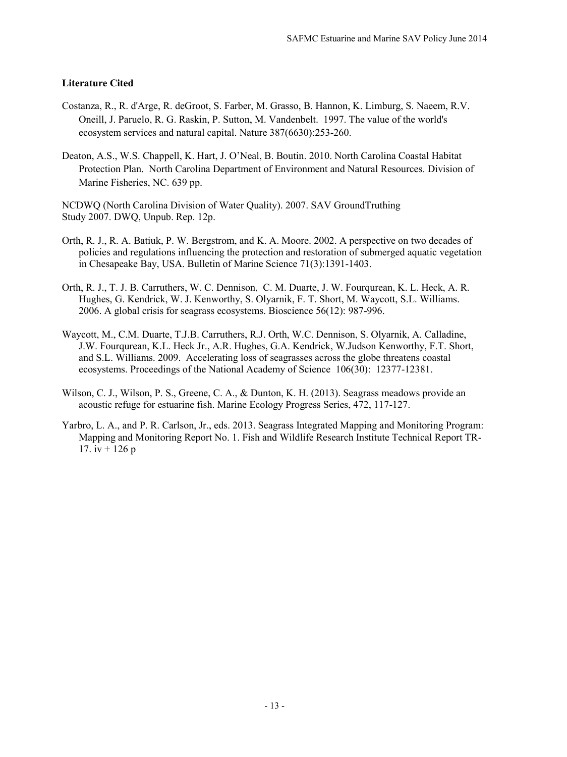#### **Literature Cited**

- Costanza, R., R. d'Arge, R. deGroot, S. Farber, M. Grasso, B. Hannon, K. Limburg, S. Naeem, R.V. Oneill, J. Paruelo, R. G. Raskin, P. Sutton, M. Vandenbelt. 1997. The value of the world's ecosystem services and natural capital. Nature 387(6630):253-260.
- Deaton, A.S., W.S. Chappell, K. Hart, J. O'Neal, B. Boutin. 2010. North Carolina Coastal Habitat Protection Plan. North Carolina Department of Environment and Natural Resources. Division of Marine Fisheries, NC. 639 pp.

NCDWQ (North Carolina Division of Water Quality). 2007. SAV GroundTruthing Study 2007. DWQ, Unpub. Rep. 12p.

- Orth, R. J., R. A. Batiuk, P. W. Bergstrom, and K. A. Moore. 2002. A perspective on two decades of policies and regulations influencing the protection and restoration of submerged aquatic vegetation in Chesapeake Bay, USA. Bulletin of Marine Science 71(3):1391-1403.
- Orth, R. J., T. J. B. Carruthers, W. C. Dennison, C. M. Duarte, J. W. Fourqurean, K. L. Heck, A. R. Hughes, G. Kendrick, W. J. Kenworthy, S. Olyarnik, F. T. Short, M. Waycott, S.L. Williams. 2006. A global crisis for seagrass ecosystems. Bioscience 56(12): 987-996.
- Waycott, M., C.M. Duarte, T.J.B. Carruthers, R.J. Orth, W.C. Dennison, S. Olyarnik, A. Calladine, J.W. Fourqurean, K.L. Heck Jr., A.R. Hughes, G.A. Kendrick, W.Judson Kenworthy, F.T. Short, and S.L. Williams. 2009. Accelerating loss of seagrasses across the globe threatens coastal ecosystems. Proceedings of the National Academy of Science 106(30): 12377-12381.
- Wilson, C. J., Wilson, P. S., Greene, C. A., & Dunton, K. H. (2013). Seagrass meadows provide an acoustic refuge for estuarine fish. Marine Ecology Progress Series, 472, 117-127.
- Yarbro, L. A., and P. R. Carlson, Jr., eds. 2013. Seagrass Integrated Mapping and Monitoring Program: Mapping and Monitoring Report No. 1. Fish and Wildlife Research Institute Technical Report TR-17.  $iv + 126p$